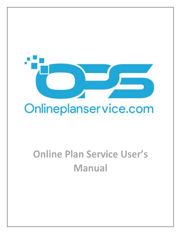

# **Online Plan Service User's Manual**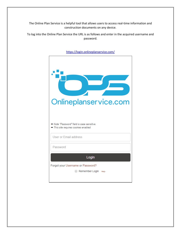The Online Plan Service is a helpful tool that allows users to access real-time information and construction documents on any device.

To log into the Online Plan Service the URL is as follows and enter in the acquired username and password.



<https://login.onlineplanservice.com/>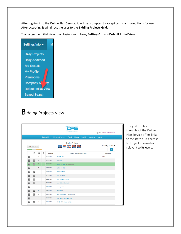After logging into the Online Plan Service, it will be prompted to accept terms and conditions for use. After accepting it will direct the user to the **Bidding Projects Grid**.

To change the initial view upon login is as follows, **Settings/ Info > Default Initial View**

Settings/Info -M **Daily Projects** Daily Addenda **Bid Results** My Profile **Planrooms** Company A **Default Initial View Saved Search** 

# **Bidding Projects View**

| Onlineplanservice.com<br>Logged in as Online Plan Service |                        |                         |   |                 |                                 |                                 |                |                                          |                    |        |                                         |
|-----------------------------------------------------------|------------------------|-------------------------|---|-----------------|---------------------------------|---------------------------------|----------------|------------------------------------------|--------------------|--------|-----------------------------------------|
|                                                           |                        |                         |   | Settings/Info - | My Projects Tracked             | Prebid                          | <b>Bidding</b> | Post Bid                                 | <b>Invitations</b> | Logout |                                         |
|                                                           |                        |                         |   |                 |                                 | <b>Bidding Projects</b>         |                |                                          |                    |        |                                         |
|                                                           | <b>Search Projects</b> |                         |   |                 | ☆ 田 <mark>エ 凶 모.</mark>         |                                 |                |                                          |                    |        | Sorted By: Bid Date +                   |
|                                                           |                        |                         |   |                 |                                 |                                 |                |                                          |                    |        | $\mathbf 1$<br>$\alpha$<br>$\mathbf{x}$ |
|                                                           | ▣                      | a                       | 偿 | <b>BID DATE</b> |                                 |                                 |                | <b>PROJECT NAME (Click Here To Sort)</b> |                    |        | <b>LOCATION</b>                         |
| $\overline{a}$                                            |                        | 49                      |   | 02/20/2019      | <b>OPSUP Test</b>               |                                 |                |                                          |                    |        | Chico                                   |
| a                                                         | ▣                      | 13                      |   | 02/20/2019      | test upload                     |                                 |                |                                          |                    |        |                                         |
| $\overline{\mathbf{a}}$                                   | 圓                      | 52                      |   | 02/21/2019      |                                 | testing bid date (View Addenda) |                |                                          |                    |        |                                         |
| a                                                         |                        | 30                      |   | 02/27/2019      | testing bid date                |                                 |                |                                          |                    |        |                                         |
| $\overline{a}$                                            | 目                      | $\overline{2}$          |   | 02/28/2019      | cops19-00165                    |                                 |                |                                          |                    |        |                                         |
| $\overline{\mathbf{a}}$                                   | 圓                      | $\overline{2}$          |   | 02/28/2019      | vops19-00403                    |                                 |                |                                          |                    |        |                                         |
| $\overline{a}$                                            | $\blacksquare$         | $\overline{\mathbf{c}}$ |   | 02/28/2019      |                                 | vops19-00403 edited             |                |                                          |                    |        |                                         |
| $\overline{\mathbf{u}}$                                   | $\blacksquare$         | $\overline{\mathbf{2}}$ |   | 02/28/2019      |                                 | cops19-00165 edited             |                |                                          |                    |        |                                         |
| $\overline{a}$                                            |                        | 52                      |   | 03/13/2019      | Testing bid date                |                                 |                |                                          |                    |        |                                         |
| $\overline{\mathbf{a}}$                                   | 目                      | 54                      |   | 03/15/2019      | antoher test                    |                                 |                |                                          |                    |        |                                         |
| $\overline{a}$                                            | 目.                     | 54                      |   | 03/20/2019      | antoher new test (View Addenda) |                                 |                |                                          |                    |        |                                         |
| $\overline{a}$                                            |                        | 54                      |   | 03/28/2019      | New project test for upload     |                                 |                |                                          |                    |        |                                         |
| $\overline{\mathbf{a}}$                                   | O                      | 54                      |   | 04/17/2019      | 18-00187 test new number        |                                 |                |                                          |                    |        |                                         |
|                                                           |                        |                         |   |                 |                                 |                                 |                |                                          |                    |        |                                         |

The grid display throughout the Online Plan Service offers links to facilitate quick access to Project information relevant to its users.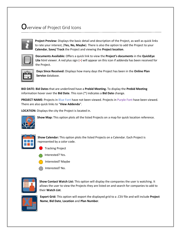# $\mathbf 0$ verview of Project Grid Icons



**Project Preview:** Displays the basic detail and description of the Project, as well as quick links to rate your interest, (**Yes, No, Maybe**). There is also the option to add the Project to your **Calendar**, **Save/ Track** the Project and viewing the **Project location**.

**Documents Available:** Offers a quick link to view the **Project's documents** in the **QuickEye Lite** html viewer. A red plus sign (+) will appear on this icon if addenda has been received for the Project.

| i. |  |
|----|--|
|    |  |

**Days Since Received:** Displays how many days the Project has been in the **Online Plan Service** database.

**BID DATE: Bid Dates** that are underlined have a **Prebid Meeting.** To display the **Prebid Meeting** information hover over the **Bid Date**. This icon (\*) indicates a **Bid Date** change.

**PROJECT NAME:** Projects in Blue Font have not been viewed. Projects in Purple Font have been viewed. There are also quick links to "**View Addenda**".

**LOCATION:** Displays the city the Project is located in.



**Show Map:** This option plots all the listed Projects on a map for quick location reference.



**Show Calendar:** This option plots the listed Projects on a Calendar. Each Project is represented by a color code.

- Tracking Project
- Interested? Yes.
- Interested? Maybe
- Interested? No.



**Show Contact Watch List:** This option will display the companies the user is watching. It allows the user to view the Projects they are listed on and search for companies to add to their **Watch List**.



**Export Grid:** This option will export the displayed grid to a .CSV file and will include **Project Name**, **Bid Date**, **Location** and **Plan Number**.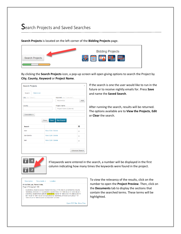# Search Projects and Saved Searches



**Search Projects** is located on the left corner of the **Bidding Projects** page.

By clicking the **Search Projects** icon, a pop-up screen will open giving options to search the Project by **City**, **County**, **Keyword** or **Project Name**.

| <b>Search Projects</b>      |                      |                           | $\times$               |
|-----------------------------|----------------------|---------------------------|------------------------|
| Search<br><b>Watch List</b> |                      |                           |                        |
| City: (ex: "Chico")         |                      | Keyword: (ex: "Concrete") |                        |
|                             |                      | Keyword(s)                | Add                    |
| County:                     |                      | Project Name:             |                        |
|                             |                      | Project Name (Optional)   |                        |
|                             | <b>Close</b><br>Save | <b>Run Search</b>         |                        |
| <b>Search</b>               |                      |                           | М                      |
| river                       | Run / Edit / Delete  |                           | $\bigcirc$             |
| San Benito                  | Run / Edit / Delete  |                           | $\bigcirc$             |
| test                        | Run / Edit / Delete  |                           | $\bigcirc$             |
|                             |                      |                           |                        |
|                             |                      |                           | <b>Advanced Search</b> |

If the search is one the user would like to run in the future or to receive nightly emails for. Press **Save** and name the **Saved Search**.

After running the search, results will be returned. The options available are to **View the Projects**, **Edit**  or **Clear** the search.



If keywords were entered in the search, a number will be displayed in the first column indicating how many times the keywords were found in the project.

| <b>Description</b>                                 | Documents $\sim$                                | Location |                                                                                                                                                                                                                                                                                                                    |
|----------------------------------------------------|-------------------------------------------------|----------|--------------------------------------------------------------------------------------------------------------------------------------------------------------------------------------------------------------------------------------------------------------------------------------------------------------------|
| 01-0c7504 ad Plans 9 Hits.<br>Page 3 Paragraph 188 |                                                 |          |                                                                                                                                                                                                                                                                                                                    |
|                                                    | 1999+31.30 "S" 1999+93.33 81 EA ANCHOR 1 LF END |          | GUARDRAIL REMOVE EA EA TRANSITION RAIL (TYPE WB-31) ALTERNATIVE IN-LINE<br>TERMINAL SYSTEM 1 1 1 GUARDRAIL QUANTITIES 1 "S" 1999+56.38 "S" 2000+94.38 1<br>CONTROL VEGETATION (MINOR CONCRETE) SQYD "S" 1999+31.01 "S" 2000+20.85 "N"<br>997+78.46 "N" 1001+48.00 73.0 ALTERNATIVE TERMINAL SYSTEM EA FLARED 1 "S" |
|                                                    |                                                 |          | Open PDF File-Show Files                                                                                                                                                                                                                                                                                           |

To view the relevancy of the results, click on the number to open the **Project Preview**. Then, click on the **Documents** tab to display the sections that contain the searched terms. These terms will be highlighted.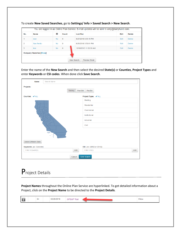|                | You are logged in as Online Plan Service. E-mail updates will be sent to amy@barryhund.com. |           |              |  |                                    |      |               |  |  |
|----------------|---------------------------------------------------------------------------------------------|-----------|--------------|--|------------------------------------|------|---------------|--|--|
| No.            | <b>Name</b>                                                                                 | X         | Count        |  | <b>Last Run</b>                    | Edit | <b>Delete</b> |  |  |
|                | river                                                                                       | <b>No</b> | $\mathbf 0$  |  | 6/27/2018 8:35:19 PM               | Edit | <b>Delete</b> |  |  |
| $\overline{2}$ | San Benito                                                                                  | <b>No</b> | $\mathbf{0}$ |  | 6/26/2018 3:50:01 PM               | Edit | <b>Delete</b> |  |  |
| 3              | $\mathbf 0$<br>12/18/2015 11:52:36 AM<br><b>No</b><br>Edit<br><b>Delete</b><br>test         |           |              |  |                                    |      |               |  |  |
|                | <b>Company Searches [Show]</b>                                                              |           |              |  |                                    |      |               |  |  |
|                |                                                                                             |           |              |  | <b>Preview Email</b><br>New Search |      |               |  |  |

To create **New Saved Searches**, go to **Settings/ Info > Saved Search > New Search**.

Enter the name of the **New Search** and then select the desired **State(s)** or **Counties**, **Project Types** and enter **Keywords** or **CSI codes**. When done click **Save Search**.

| Name:                    | Search Name          |                |               |                           |     |  |
|--------------------------|----------------------|----------------|---------------|---------------------------|-----|--|
| Projects:                |                      |                |               |                           |     |  |
|                          |                      | <b>Bidding</b> | Post Bid      | Pre-Bid                   |     |  |
| Counties: ALL            |                      |                |               | Project Types: V ALL      |     |  |
|                          |                      |                |               | <b>Building</b>           |     |  |
|                          |                      |                |               | Residential               |     |  |
|                          |                      |                |               |                           |     |  |
|                          |                      |                | Institutional |                           |     |  |
|                          |                      |                | Industrial    |                           |     |  |
|                          |                      |                |               | Civil                     |     |  |
|                          | <b>Septime</b><br>r. |                |               |                           |     |  |
| Select Different State   |                      |                |               |                           |     |  |
| Keywords: (ex: Concrete) |                      |                |               | CSI: (ex: 03050 or 03100) |     |  |
| Enter Keyword(s)         |                      | Add            |               | Enter CSI(s)              | Add |  |
|                          |                      | Cancel         |               | <b>Save Search</b>        |     |  |

# Project Details

**Project Names** throughout the Online Plan Service are hyperlinked. To get detailed information about a Project, click on the **Project Name** to be directed to the **Project Details**.

|  |  |  |  |  | -- |  | Chico |  |
|--|--|--|--|--|----|--|-------|--|
|--|--|--|--|--|----|--|-------|--|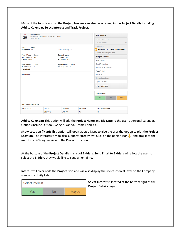Many of the tools found on the **Project Preview** can also be accessed in the **Project Details** including: **Add to Calendar**, **Select Interest** and **Track Project**.

| <b>OPSUP TEST</b><br><b>FEB</b>                      | Location: 12019 Merlin Lane Chico Butte CA 95928 |                                               | <b>Documents</b> |                           |                                |              |
|------------------------------------------------------|--------------------------------------------------|-----------------------------------------------|------------------|---------------------------|--------------------------------|--------------|
| 20<br>When: 2:00 PM                                  |                                                  |                                               |                  | <b>View Project Docs</b>  |                                |              |
|                                                      |                                                  |                                               |                  | <b>File Downloader</b>    |                                | $\checkmark$ |
| Status:<br>Rebid                                     |                                                  |                                               |                  | <b>Order Prints</b>       |                                |              |
| Postponed: No                                        |                                                  | Show Location (Map)                           |                  |                           | ANCHOROCK - Project Management |              |
|                                                      |                                                  |                                               |                  |                           | Launch TakeOff Application     |              |
| Project Type:<br><b>Building</b><br>Bid Packages: No |                                                  | <b>Estimate Low:</b><br><b>Estimate High:</b> |                  | <b>Project Actions</b>    |                                |              |
| Contract#/Ref:                                       |                                                  | <b>Published Date:</b>                        |                  | <b>View Activity</b>      |                                |              |
| Online<br><b>Plan Status:</b>                        |                                                  | Online<br><b>Spec Status:</b>                 |                  | <b>Email Project Info</b> |                                |              |
| No of Plans:<br>$\mathbf{0}$<br><b>Plans Cost:</b>   |                                                  | No of Specs:<br>$\mathbf 0$                   |                  | Add Me To Bidders List    |                                |              |
|                                                      |                                                  |                                               |                  | <b>Track Project</b>      |                                |              |
| <b>Description:</b>                                  |                                                  |                                               |                  | <b>Add Note</b>           |                                |              |
|                                                      |                                                  |                                               |                  | <b>Search Spec Books</b>  |                                |              |
|                                                      |                                                  |                                               |                  | Import to ITB.io          |                                |              |
|                                                      |                                                  |                                               |                  | PHLY18-00199              |                                |              |
|                                                      |                                                  |                                               |                  | Select Interest           |                                |              |
|                                                      |                                                  |                                               |                  | <b>Yes</b>                | <b>No</b>                      | Maybe        |
| <b>Bid Date Information</b>                          |                                                  |                                               |                  |                           |                                |              |
| <b>Description</b>                                   | <b>Bid Date</b>                                  | <b>Bid Time</b>                               | <b>Extended</b>  | <b>Bid Date Change</b>    |                                |              |
|                                                      | 2/20/2019                                        | 2:00 PM                                       | <b>No</b>        | <b>No</b>                 |                                |              |

**Add to Calendar:** This option will add the **Project Name** and **Bid Date** to the user's personal calendar. Options include Outlook, Google, Yahoo, Hotmail and iCal.

**Show Location (Map):** This option will open Google Maps to give the user the option to plot **the Project Location**. The interactive map also supports street view. Click on the person icon **and drage it to the** map for a 360-degree view of the **Project Location**.

At the bottom of the **Project Details** is a list of **Bidders**. **Send Email to Bidders** will allow the user to select the **Bidders** they would like to send an email to.

Interest will color code the **Project Grid** and will also display the user's interest level on the Company view and activity lists.



**Select Interest** is located at the bottom right of the **Project Details** page.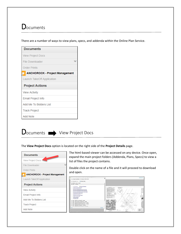# **D**ocuments

There are a number of ways to view plans, specs, and addenda within the Online Plan Service.

| <b>Documents</b>                      |
|---------------------------------------|
| <b>View Project Docs</b>              |
| <b>File Downloader</b>                |
| <b>Order Prints</b>                   |
| <b>ANCHOROCK - Project Management</b> |
| Launch TakeOff Application            |
| <b>Project Actions</b>                |
| <b>View Activity</b>                  |
| Email Project Info                    |
| Add Me To Bidders List                |
| <b>Track Project</b>                  |
| <b>Add Note</b>                       |



The **View Project Docs** option is located on the right side of the **Project Details** page.

| <b>Documents</b>                      |
|---------------------------------------|
| View Project Docs                     |
| <b>File Downloader</b>                |
| <b>Order Prints</b>                   |
| <b>ANCHOROCK - Project Management</b> |
| Launch TakeOff Application            |
| <b>Project Actions</b>                |
| <b>View Activity</b>                  |
| <b>Email Project Info</b>             |
| Add Me To Bidders List                |
| <b>Track Project</b>                  |
| Add Note                              |

The html-based viewer can be accessed on any device. Once open, expand the main project folders (Addenda, Plans, Specs) to view a list of files the project contains.

Double click on the name of a file and it will proceed to download and open.

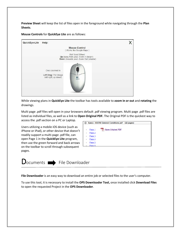**Preview Sheet** will keep the list of files open in the foreground while navigating through the **Plan Sheets**.

**Mouse Controls** for **QuickEye Lite** are as follows:



While viewing plans in **QuickEye Lite** the toolbar has tools available to **zoom in or out** and **rotating** the drawings.

Multi page .pdf files will open in your browsers default .pdf viewing program. Multi page .pdf files are listed as individual files, as well as a link to **Open Original PDF.** The Original PDF is the quickest way to access the .pdf section on a PC or Laptop.

Users utilizing a mobile iOS device (such as iPhone or iPad), or other device that doesn't readily support a multi‐page .pdf file, can open Page 1 in the **QuickEye Lite** program, then use the green forward and back arrows on the toolbar to scroll through subsequent pages.





**File Downloader** is an easy way to download an entire job or selected files to the user's computer.

To use this tool, it is necessary to install the **OPS Downloader Tool,** once installed click **Download Files** to open the requested Project in the **OPS Downloader**.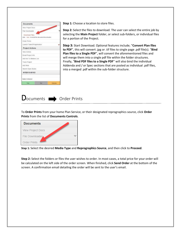| Documents                  |                                                |       |
|----------------------------|------------------------------------------------|-------|
| View Project Docs          |                                                |       |
| File Downloader            |                                                |       |
| Download Files             | click here to install the document downloader. |       |
| Order Prints               |                                                |       |
| Launch TakeOff Application |                                                |       |
| <b>Project Actions</b>     |                                                |       |
| View Activity              |                                                |       |
| Email Project Info         |                                                |       |
| Add Me To Bidders List     |                                                |       |
| Track Project              |                                                |       |
| Add Note                   |                                                |       |
| Search Spec Books          |                                                |       |
| NYBX15-00163               |                                                |       |
| Select Interest            |                                                |       |
| Yes                        | No                                             | Maybe |

**Step 1:** Choose a location to store files.

**Step 2:** Select the files to download. The user can select the entire job by selecting the Main Project folder, or select sub-folders, or individual files for a portion of the Project.

**Step 3:** Start Download. Optional features include; "**Convert Plan files to PDF**", this will convert .jpg or .tif files to single page .pdf file(s). "**Bind Plan files to a Single PDF**", will convert the aforementioned files and will merge them into a single pdf file within the folder structures. Finally, "**Bind PDF files to a Single PDF**" will also bind the individual Addenda and / or Spec sections that are posted as individual .pdf files, into a merged .pdf within the sub‐folder structure.



To **Order Prints** from your home Plan Service, or their designated reprographics source, click **Order Prints** from the list of **Documents Controls**.

| <b>Documents</b>         |  |
|--------------------------|--|
| <b>View Project Docs</b> |  |
| File Downloader.         |  |
| <b>Order Prints</b>      |  |

**Step 1:** Select the desired **Media Type** and **Reprographics Source**, and then click to **Proceed**.

**Step 2:** Select the folders or files the user wishes to order. In most cases, a total price for your order will be calculated on the left side of the order screen. When finished, click **Send Order** at the bottom of the screen. A confirmation email detailing the order will be sent to the user's email.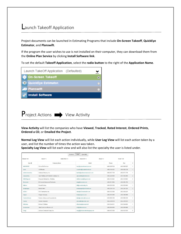## Launch Takeoff Application

Project documents can be launched in Estimating Programs that include **On-Screen Takeoff**, **QuickEye Estimator**, and **Planswift**.

If the program the user wishes to use is not installed on their computer, they can download them from the **Online Plan Service** by clicking **Install Software link**.

To set the default **Takeoff Application**, select the **radio button** to the right of the **Application Name**.





**View Activity** will list the companies who have **Viewed**, **Tracked**, **Rated Interest**, **Ordered Prints**, **Ordered a CD**, or **Emailed the Project**.

**Normal Log View** will list each action individually, while **User Log View** will list each action taken by a user, and list the number of times the action was taken.

**Specialty Log View** will list each view and will also list the specialty the user is listed under.

|                     |                                             | Normal | User<br>Specialty                |                    |                    |                |
|---------------------|---------------------------------------------|--------|----------------------------------|--------------------|--------------------|----------------|
| $Viewed = 98$       | Saved $= 1$<br>Order Print = $0$            |        | Order $CD = 0$                   | $Email = 0$        | $Total = 109$      |                |
| User +              | Company Name                                |        | Email                            | Phone.             | Fax                | $\#$           |
| 4068392993          | Sylvan Site Services                        |        | tony@sylvansiteservices.com      | (406) 628-7610     | $(406) 628 - 7627$ | $\mathbf{1}$   |
| aceel               | <b>ACE Electric</b>                         |        | rcrawford@aceelectricmt.com      | $(406)$ 248-1302   | $(406)$ 628-2128   | $\mathbf{1}$   |
| andersonmasonry     | Anderson Masonry, Inc.                      |        | beckie@andersonmasonryinc.com    | $(406) 837 - 7730$ | $(406) 837 - 7731$ | $\mathbf{1}$   |
| Apexpainting        | Apex Painting and Protective Coatings, Inc. |        | apexpainting@hotmail.com         | $(406)$ 228-9008   | $(000) 000 - 0000$ | $\overline{c}$ |
| <b>BBEXferquson</b> | Ferguson Enterprises - Plumbing             |        | michael.ryan@ferguson.com        | $(406)$ 252-4442   | $(406)$ 252-9822   | $\overline{2}$ |
| <b>Biconcrete</b>   | Bi Concrete Design and Fabrication          |        | bing@biconcrete.com              | $(406)$ 591-5596   | $(406)$ 655-4700   | 1              |
| <b>billiohns</b>    | Summit Roofing                              |        | bill@summitroofing.info          | $(406) 829 - 9100$ | $(406) 829 - 8450$ | $\mathbf{1}$   |
| bruegseggar         | Rain for Rent                               |        | bruegsegger@rainforrent.com      | $(406)$ 259-7216   | (406) 259-7251     | $\overline{2}$ |
| ck2inc1             | CK2 Construction, Inc.                      |        | chad@ck2construction.com         | (406) 522-0300     | $(406) 585 - 5611$ | $\mathbf{1}$   |
| clapper             | Clapper Company                             |        | hsh@clapperco.com                | $(406)$ 252-9385   | $(406)$ 256-9588   | $\mathbf{1}$   |
| CondonJohnson       | Condon-Johnson and Associates Inc.          |        | tiahn@condon-johnson.com         | (425) 988-2150     | (425) 988-2151     | $\mathbf{1}$   |
| Cosney              | Cosney Corpration                           |        | dmcmullen@cosney.com             | (952) 249-0616     | $(952)$ 249-0615   | $\mathbf{1}$   |
| d9techrep           | Division 9 Finishes                         |        | d9techrep@comcast.net            | (509) 924-9411     | (509) 924-9955     | $\mathbf{1}$   |
| davebrenden         | Allied Control and Electric LLC             |        | info@alliedcemt.com              | $(406)969-6090$    | $(406)$ 969-6089   | $\mathbf{1}$   |
| Dougi               | Jackson Contractor Group, Inc.              |        | dougi@jacksoncontractorgroup.com | (406) 542-9150     | $(406) 542 - 3515$ | 5              |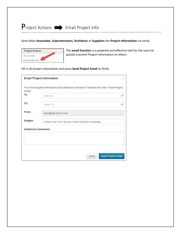### Send other **Associates**, **Subcontractors**, **Architects** or **Suppliers** the **Project information** via email.



The **email function** is a powerful and effective tool for the users to quickly transmit Project information to others.

Fill in all known information and press **Send Project Email** to finish.

| <b>Email Project Information</b>                                                             |          |
|----------------------------------------------------------------------------------------------|----------|
| Fill in the recipient information and additional comments if needed then click "Send Project |          |
| <b>Enter To</b>                                                                              |          |
| <b>Enter CC</b>                                                                              |          |
| amy@barryhund.com                                                                            |          |
| Project Info From Secure Online Builders Exchange                                            |          |
| <b>Additional Comments:</b>                                                                  |          |
|                                                                                              |          |
|                                                                                              |          |
| <b>Send Project Email</b><br>Close                                                           |          |
|                                                                                              | $\times$ |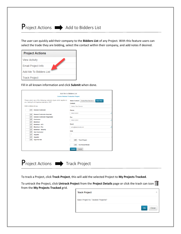# $\mathsf{P}_{\mathsf{reject} \, \mathsf{Actions}} \implies \mathsf{Add} \, \mathsf{to} \, \mathsf{Bidders} \, \mathsf{List}$

The user can quickly add their company to the **Bidders List** of any Project. With this feature users can select the trade they are bidding, select the contact within their company, and add notes if desired.

| <b>Project Actions</b>    |
|---------------------------|
| <b>View Activity</b>      |
| <b>Email Project Info</b> |
| Add Me To Bidders List    |
| <b>Track Project</b>      |

Fill in all known information and click **Submit** when done.

|                         |                                                                                                                    | Add Me to Bidders List             |                         |                  |   |
|-------------------------|--------------------------------------------------------------------------------------------------------------------|------------------------------------|-------------------------|------------------|---|
|                         | <b>Cosme Refactor Production Project</b>                                                                           |                                    |                         |                  |   |
|                         | Please select one of the following contractor types which applies to<br>you. testing fix of dropdown elements, GCP | <b>Select Contact:</b><br>Contact: | Online Plan Service -   | <b>New Alias</b> |   |
| Add to bidders list as: |                                                                                                                    | Online Plan Service                |                         |                  |   |
| OFF                     | <b>General Contractor</b>                                                                                          | Phone:                             |                         |                  |   |
| OFF                     | <b>General Contractor-Awarded</b>                                                                                  | 9166122901                         |                         |                  | ≁ |
| OFF                     | <b>General Contractor-Negotiated</b>                                                                               | Fax:                               |                         |                  |   |
| OFF                     | Contractor                                                                                                         | 9166122901                         |                         |                  | ≯ |
| OFF                     | Electrical                                                                                                         |                                    |                         |                  |   |
| OFF                     | <b>Electrical - ATC</b>                                                                                            | Email:                             |                         |                  |   |
| OFF                     | <b>Electrical - Fire</b>                                                                                           | amy@barryhund.com                  |                         |                  | ≁ |
| OFF                     | <b>Electrical - Security</b>                                                                                       |                                    |                         |                  |   |
| OFF                     | <b>Sub Contractor</b>                                                                                              | Note:                              |                         |                  |   |
| OFF                     | <b>Supplier</b>                                                                                                    |                                    |                         |                  |   |
| OFF                     | <b>Supplier</b>                                                                                                    |                                    |                         |                  |   |
| OFF                     | <b>Type Not Set</b>                                                                                                | OFF                                | <b>Track Project</b>    |                  |   |
|                         |                                                                                                                    | OFF                                | <b>Confirmed Bidder</b> |                  |   |
|                         |                                                                                                                    | <b>Submit</b>                      | Cancel                  |                  |   |



To track a Project, click **Track Project**, this will add the selected Project to **My Projects Tracked**.

To untrack the Project, click **Untrack Project** from the **Project Details** page or click the trash can icon from the **My Projects Tracked** grid.

| <b>Track Project</b>              | ×                  |
|-----------------------------------|--------------------|
| Save Project to Tracked Projects? |                    |
|                                   | Ok<br><b>Close</b> |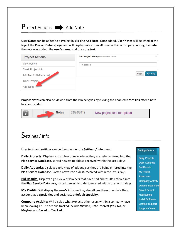

**User Notes** can be added to a Project by clicking **Add Note**. Once added, **User Notes** will be listed at the top of the **Project Details** page, and will display notes from all users within a company, noting the **date** the note was added, the **user's name**, and the **note text**.

| <b>Project Actions</b>    | Add Project Note (notes can not be deleted)<br>×. |
|---------------------------|---------------------------------------------------|
| <b>View Activity</b>      | <b>Project Note</b>                               |
| <b>Email Project Info</b> |                                                   |
| Add Me To Bidders List    | <b>Add Note</b><br>Close                          |
| Track Project▲            |                                                   |
| <b>Add Note</b>           |                                                   |

**Project Notes** can also be viewed from the Project grids by clicking the enabled **Notes link** after a note has been added.



# Settings / Info

User tools and settings can be found under the **Settings / Info** menu.

**Daily Projects:** Displays a grid view of new jobs as they are being entered into the **Plan Service Database**, sorted newest to oldest, received within the last 3 days.

**Daily Addenda**: Displays a grid view of addenda as they are being entered into the **Plan Service Database**. Sorted newest to oldest, received within the last 3 days.

**Bid Results:** Displays a grid view of Projects that have had bid results entered into the **Plan Service Database**, sorted newest to oldest, entered within the last 14 days.

**My Profile:** Will display the **user's information**, also allows them to update their account, add **specialties** and designate a **default specialty**.

**Company Activity:** Will display what Projects other users within a company have been looking at. The actions tracked include **Viewed**, **Rate Interest** (**Yes**, **No**, or **Maybe**), and **Saved** or **Tracked**.

#### Settings/Info -

**Daily Projects** Daily Addenda **Bid Results** My Profile **Planrooms Company Activity Default Initial View Saved Search Notifications Install Software Contact Support Support Center**